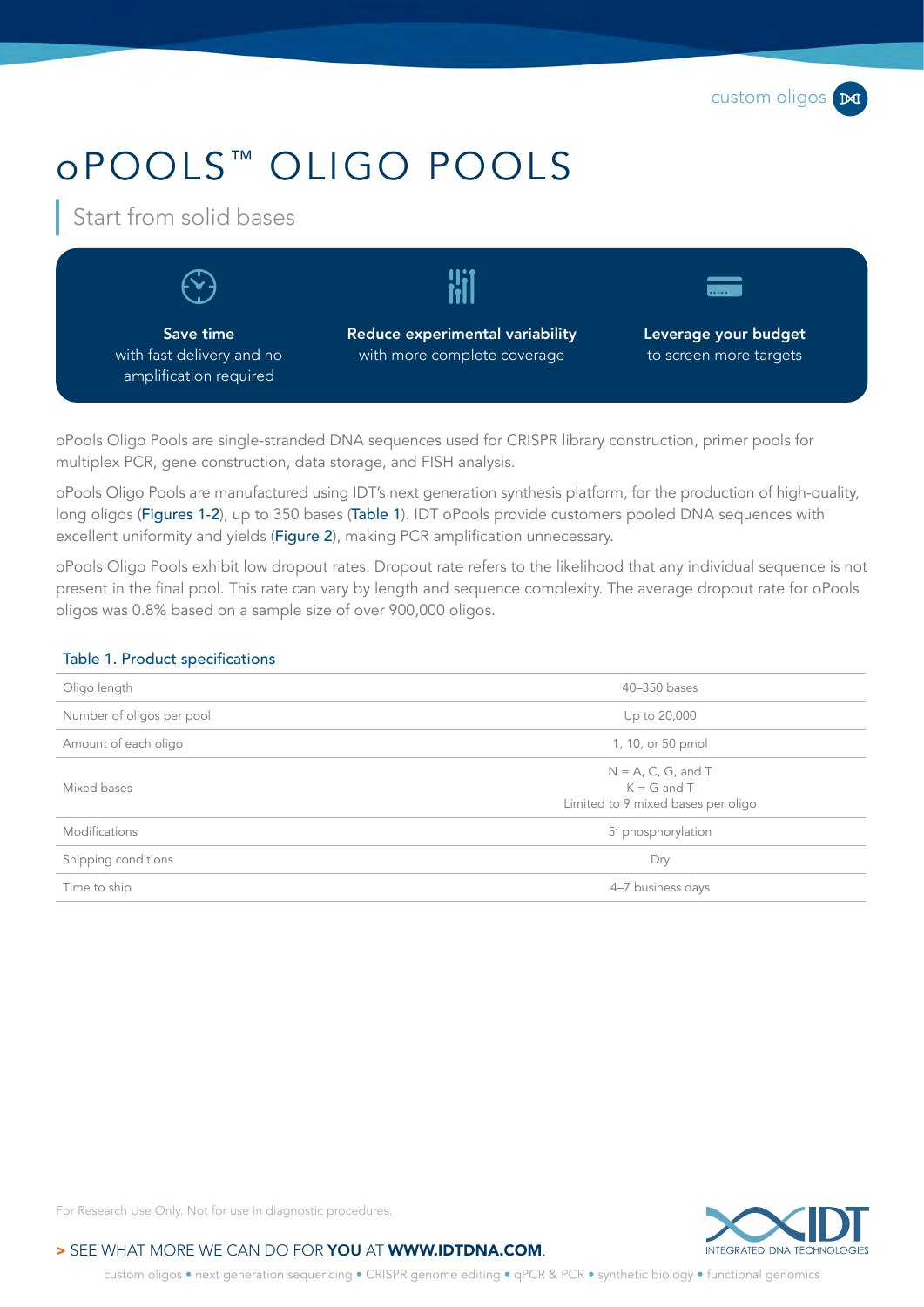# oPOOLS ™ OLIGO POOLS

Start from solid bases



oPools Oligo Pools are single-stranded DNA sequences used for CRISPR library construction, primer pools for multiplex PCR, gene construction, data storage, and FISH analysis.

oPools Oligo Pools are manufactured using IDT's next generation synthesis platform, for the production of high-quality, long oligos ([Figures 1](#page-1-0)[-2](#page-1-1)), up to 350 bases ([Table 1](#page-0-0)). IDT oPools provide customers pooled DNA sequences with excellent uniformity and yields ([Figure 2](#page-1-1)), making PCR amplification unnecessary.

oPools Oligo Pools exhibit low dropout rates. Dropout rate refers to the likelihood that any individual sequence is not present in the final pool. This rate can vary by length and sequence complexity. The average dropout rate for oPools oligos was 0.8% based on a sample size of over 900,000 oligos.

#### <span id="page-0-0"></span>Table 1. Product specifications

| Oligo length              | 40-350 bases                                                                   |  |  |
|---------------------------|--------------------------------------------------------------------------------|--|--|
| Number of oligos per pool | Up to 20,000                                                                   |  |  |
| Amount of each oligo      | 1, 10, or 50 pmol                                                              |  |  |
| Mixed bases               | $N = A$ , C, G, and T<br>$K = G$ and $T$<br>Limited to 9 mixed bases per oligo |  |  |
| Modifications             | 5' phosphorylation                                                             |  |  |
| Shipping conditions       | Dry                                                                            |  |  |
| Time to ship              | 4-7 business days                                                              |  |  |
|                           |                                                                                |  |  |



For Research Use Only. Not for use in diagnostic procedures.

#### > SEE WHAT MORE WE CAN DO FOR YOU AT WWW.IDTDNA.COM.

custom oligos • next generation sequencing • CRISPR genome editing • qPCR & PCR • synthetic biology • functional genomics